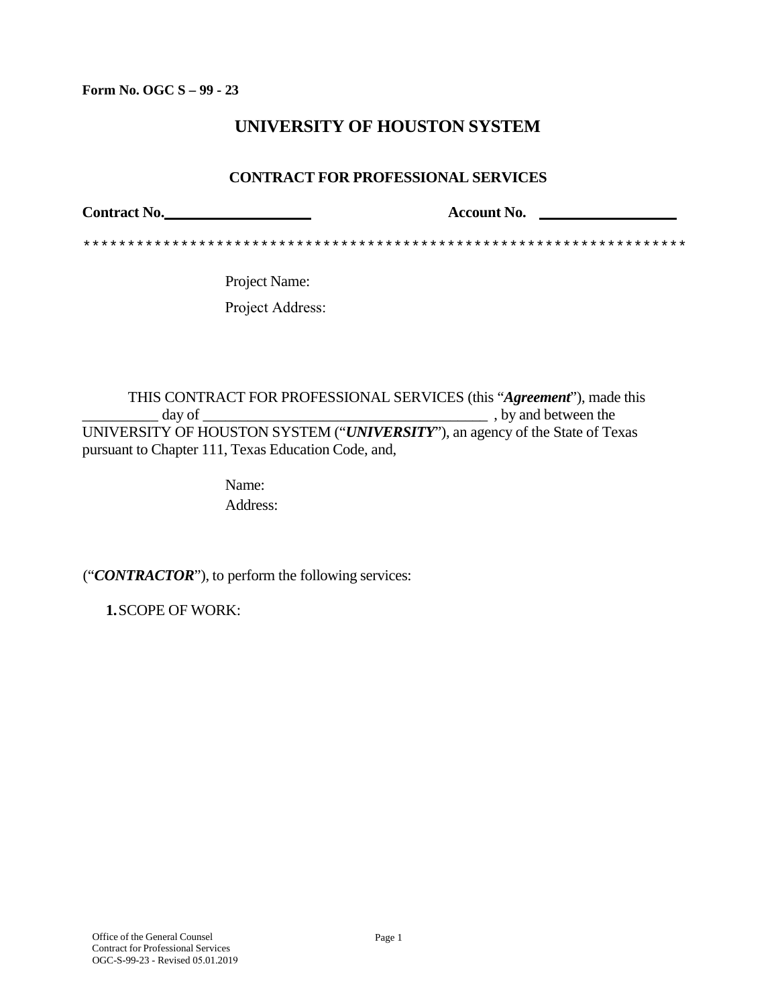**Form No. OGC S – 99 - 23**

# **UNIVERSITY OF HOUSTON SYSTEM**

#### **CONTRACT FOR PROFESSIONAL SERVICES**

Contract No. **Contract No. Contract No. Account No. Account No. Account No. Account No. Account No. Account No. Account No. Account No. Account No. Account No. Account No. Account No. Account No** 

\*\*\*\*\*\*\*\*\*\*\*\*\*\*\*\*\*\*\*\*\*\*\*\*\*\*\*\*\*\*\*\*\*\*\*\*\*\*\*\*\*\*\*\*\*\*\*\*\*\*\*\*\*\*\*\*\*\*\*\*\*\*\*\*\*\*\*\*

Project Name: Project Address:

THIS CONTRACT FOR PROFESSIONAL SERVICES (this "*Agreement*"), made this \_\_\_\_\_\_\_\_\_\_ day of \_\_\_\_\_\_\_\_\_\_\_\_\_\_\_\_\_\_\_\_\_\_\_\_\_\_\_\_\_\_\_\_\_\_\_\_\_\_ , by and between the UNIVERSITY OF HOUSTON SYSTEM ("*UNIVERSITY*"), an agency of the State of Texas pursuant to Chapter 111, Texas Education Code, and,

> Name: Address:

("*CONTRACTOR*"), to perform the following services:

**1.**SCOPE OF WORK: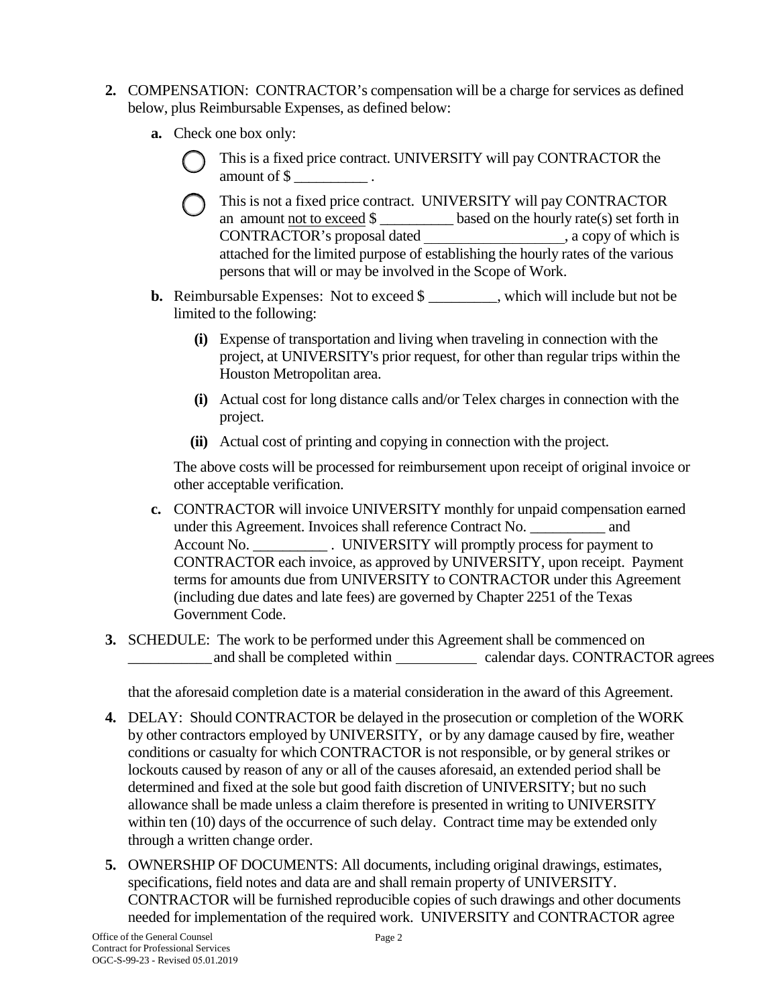- **2.** COMPENSATION: CONTRACTOR's compensation will be a charge for services as defined below, plus Reimbursable Expenses, as defined below:
	- **a.** Check one box only:
		- This is a fixed price contract. UNIVERSITY will pay CONTRACTOR the amount of \$ \_\_\_\_\_\_\_\_\_\_ .
		- This is not a fixed price contract. UNIVERSITY will pay CONTRACTOR an amount <u>not to exceed \$</u> \_\_\_\_\_\_\_\_\_\_\_ based on the hourly rate(s) set forth in CONTRACTOR's proposal dated \_\_\_\_\_\_\_\_\_\_\_\_\_\_\_\_\_\_\_, a copy of which is attached for the limited purpose of establishing the hourly rates of the various persons that will or may be involved in the Scope of Work.
	- **b.** Reimbursable Expenses: Not to exceed \$ \_\_\_\_\_\_\_\_\_, which will include but not be limited to the following:
		- **(i)** Expense of transportation and living when traveling in connection with the project, at UNIVERSITY's prior request, for other than regular trips within the Houston Metropolitan area.
		- **(i)** Actual cost for long distance calls and/or Telex charges in connection with the project.
		- **(ii)** Actual cost of printing and copying in connection with the project.

The above costs will be processed for reimbursement upon receipt of original invoice or other acceptable verification.

- **c.** CONTRACTOR will invoice UNIVERSITY monthly for unpaid compensation earned under this Agreement. Invoices shall reference Contract No. \_\_\_\_\_\_\_\_\_\_ and Account No. \_\_\_\_\_\_\_\_\_\_\_\_\_\_. UNIVERSITY will promptly process for payment to CONTRACTOR each invoice, as approved by UNIVERSITY, upon receipt. Payment terms for amounts due from UNIVERSITY to CONTRACTOR under this Agreement (including due dates and late fees) are governed by Chapter 2251 of the Texas Government Code.
- and shall be completed within calendar days. CONTRACTOR agrees **3.** SCHEDULE: The work to be performed under this Agreement shall be commenced on

that the aforesaid completion date is a material consideration in the award of this Agreement.

- **4.** DELAY: Should CONTRACTOR be delayed in the prosecution or completion of the WORK by other contractors employed by UNIVERSITY, or by any damage caused by fire, weather conditions or casualty for which CONTRACTOR is not responsible, or by general strikes or lockouts caused by reason of any or all of the causes aforesaid, an extended period shall be determined and fixed at the sole but good faith discretion of UNIVERSITY; but no such allowance shall be made unless a claim therefore is presented in writing to UNIVERSITY within ten (10) days of the occurrence of such delay. Contract time may be extended only through a written change order.
- **5.** OWNERSHIP OF DOCUMENTS: All documents, including original drawings, estimates, specifications, field notes and data are and shall remain property of UNIVERSITY. CONTRACTOR will be furnished reproducible copies of such drawings and other documents needed for implementation of the required work. UNIVERSITY and CONTRACTOR agree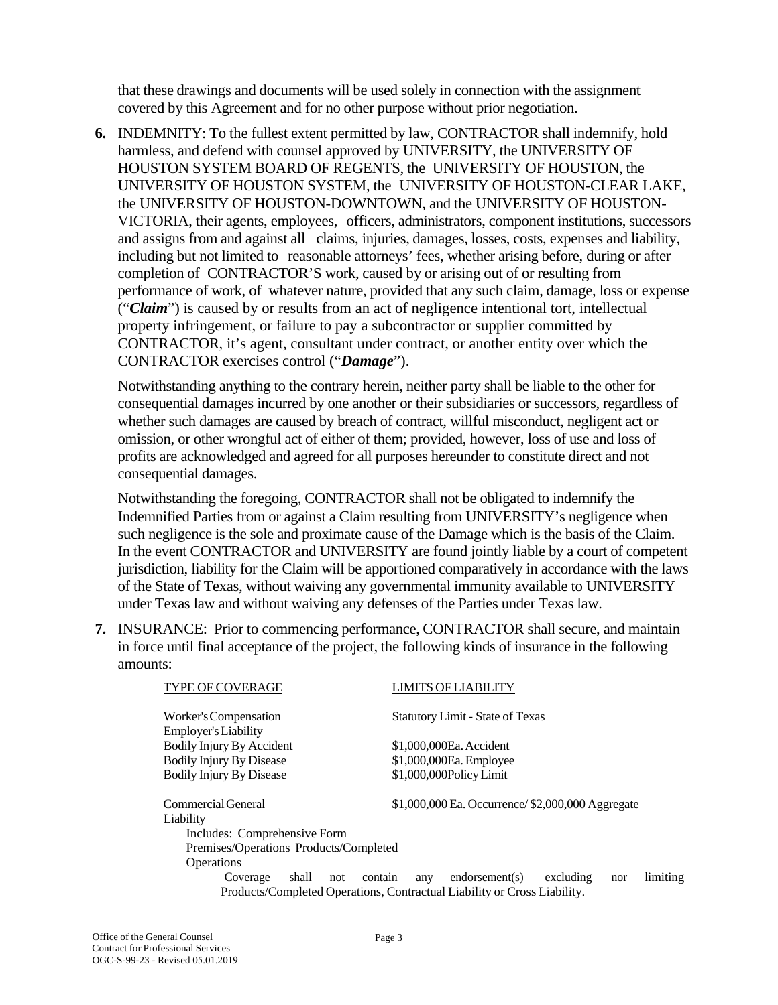that these drawings and documents will be used solely in connection with the assignment covered by this Agreement and for no other purpose without prior negotiation.

**6.** INDEMNITY: To the fullest extent permitted by law, CONTRACTOR shall indemnify, hold harmless, and defend with counsel approved by UNIVERSITY, the UNIVERSITY OF HOUSTON SYSTEM BOARD OF REGENTS, the UNIVERSITY OF HOUSTON, the UNIVERSITY OF HOUSTON SYSTEM, the UNIVERSITY OF HOUSTON-CLEAR LAKE, the UNIVERSITY OF HOUSTON-DOWNTOWN, and the UNIVERSITY OF HOUSTON-VICTORIA, their agents, employees, officers, administrators, component institutions, successors and assigns from and against all claims, injuries, damages, losses, costs, expenses and liability, including but not limited to reasonable attorneys' fees, whether arising before, during or after completion of CONTRACTOR'S work, caused by or arising out of or resulting from performance of work, of whatever nature, provided that any such claim, damage, loss or expense ("*Claim*") is caused by or results from an act of negligence intentional tort, intellectual property infringement, or failure to pay a subcontractor or supplier committed by CONTRACTOR, it's agent, consultant under contract, or another entity over which the CONTRACTOR exercises control ("*Damage*").

Notwithstanding anything to the contrary herein, neither party shall be liable to the other for consequential damages incurred by one another or their subsidiaries or successors, regardless of whether such damages are caused by breach of contract, willful misconduct, negligent act or omission, or other wrongful act of either of them; provided, however, loss of use and loss of profits are acknowledged and agreed for all purposes hereunder to constitute direct and not consequential damages.

Notwithstanding the foregoing, CONTRACTOR shall not be obligated to indemnify the Indemnified Parties from or against a Claim resulting from UNIVERSITY's negligence when such negligence is the sole and proximate cause of the Damage which is the basis of the Claim. In the event CONTRACTOR and UNIVERSITY are found jointly liable by a court of competent jurisdiction, liability for the Claim will be apportioned comparatively in accordance with the laws of the State of Texas, without waiving any governmental immunity available to UNIVERSITY under Texas law and without waiving any defenses of the Parties under Texas law.

**7.** INSURANCE: Prior to commencing performance, CONTRACTOR shall secure, and maintain in force until final acceptance of the project, the following kinds of insurance in the following amounts:

| <b>TYPE OF COVERAGE</b>                                                  | LIMITS OF LIABILITY                                      |  |  |  |
|--------------------------------------------------------------------------|----------------------------------------------------------|--|--|--|
| Worker's Compensation                                                    | <b>Statutory Limit - State of Texas</b>                  |  |  |  |
| <b>Employer's Liability</b>                                              |                                                          |  |  |  |
| Bodily Injury By Accident                                                | \$1,000,000Ea. Accident                                  |  |  |  |
| <b>Bodily Injury By Disease</b>                                          | \$1,000,000Ea. Employee                                  |  |  |  |
| <b>Bodily Injury By Disease</b>                                          | \$1,000,000Policy Limit                                  |  |  |  |
| Commercial General                                                       | $$1,000,000$ Ea. Occurrence/ $$2,000,000$ Aggregate      |  |  |  |
| Liability                                                                |                                                          |  |  |  |
| Includes: Comprehensive Form                                             |                                                          |  |  |  |
| Premises/Operations Products/Completed                                   |                                                          |  |  |  |
| Operations                                                               |                                                          |  |  |  |
| shall<br>contain<br>Coverage<br>not                                      | limiting<br>excluding<br>$endor$ sement(s)<br>any<br>nor |  |  |  |
| Products/Completed Operations, Contractual Liability or Cross Liability. |                                                          |  |  |  |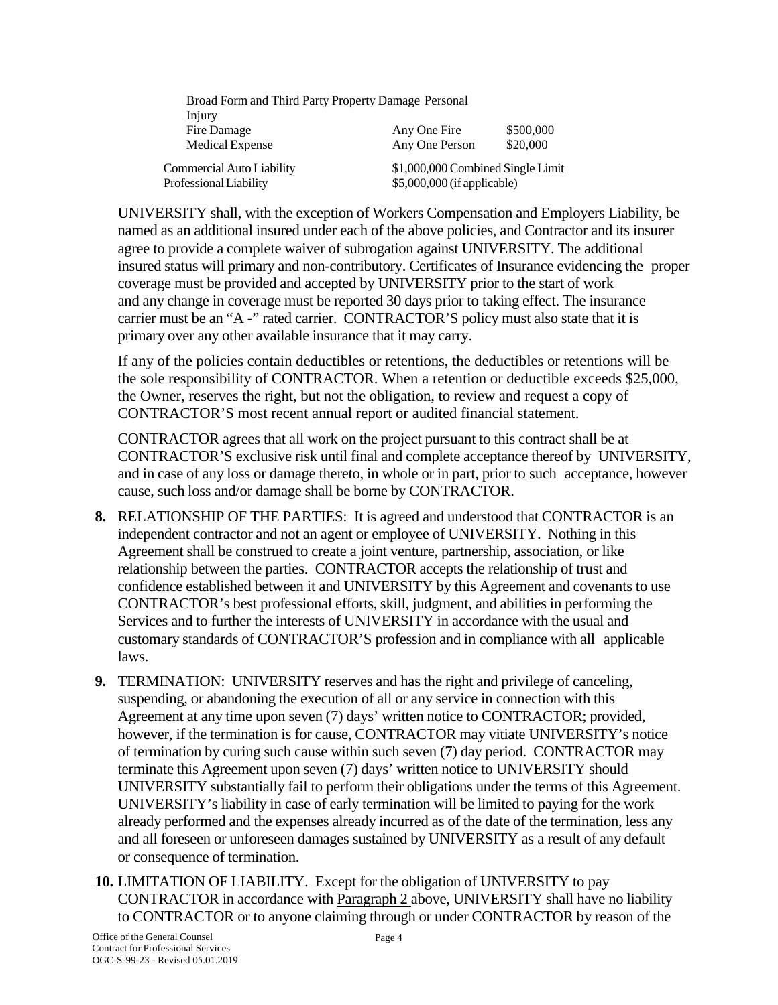| Broad Form and Third Party Property Damage Personal |                                   |           |
|-----------------------------------------------------|-----------------------------------|-----------|
| Injury                                              |                                   |           |
| Fire Damage                                         | Any One Fire                      | \$500,000 |
| Medical Expense                                     | Any One Person                    | \$20,000  |
| Commercial Auto Liability                           | \$1,000,000 Combined Single Limit |           |
| Professional Liability                              | \$5,000,000 (if applicable)       |           |

UNIVERSITY shall, with the exception of Workers Compensation and Employers Liability, be named as an additional insured under each of the above policies, and Contractor and its insurer agree to provide a complete waiver of subrogation against UNIVERSITY. The additional insured status will primary and non-contributory. Certificates of Insurance evidencing the proper coverage must be provided and accepted by UNIVERSITY prior to the start of work and any change in coverage must be reported 30 days prior to taking effect. The insurance carrier must be an "A -" rated carrier. CONTRACTOR'S policy must also state that it is primary over any other available insurance that it may carry.

If any of the policies contain deductibles or retentions, the deductibles or retentions will be the sole responsibility of CONTRACTOR. When a retention or deductible exceeds \$25,000, the Owner, reserves the right, but not the obligation, to review and request a copy of CONTRACTOR'S most recent annual report or audited financial statement.

CONTRACTOR agrees that all work on the project pursuant to this contract shall be at CONTRACTOR'S exclusive risk until final and complete acceptance thereof by UNIVERSITY, and in case of any loss or damage thereto, in whole or in part, prior to such acceptance, however cause, such loss and/or damage shall be borne by CONTRACTOR.

- **8.** RELATIONSHIP OF THE PARTIES: It is agreed and understood that CONTRACTOR is an independent contractor and not an agent or employee of UNIVERSITY. Nothing in this Agreement shall be construed to create a joint venture, partnership, association, or like relationship between the parties. CONTRACTOR accepts the relationship of trust and confidence established between it and UNIVERSITY by this Agreement and covenants to use CONTRACTOR's best professional efforts, skill, judgment, and abilities in performing the Services and to further the interests of UNIVERSITY in accordance with the usual and customary standards of CONTRACTOR'S profession and in compliance with all applicable laws.
- **9.** TERMINATION: UNIVERSITY reserves and has the right and privilege of canceling, suspending, or abandoning the execution of all or any service in connection with this Agreement at any time upon seven (7) days' written notice to CONTRACTOR; provided, however, if the termination is for cause, CONTRACTOR may vitiate UNIVERSITY's notice of termination by curing such cause within such seven (7) day period. CONTRACTOR may terminate this Agreement upon seven (7) days' written notice to UNIVERSITY should UNIVERSITY substantially fail to perform their obligations under the terms of this Agreement. UNIVERSITY's liability in case of early termination will be limited to paying for the work already performed and the expenses already incurred as of the date of the termination, less any and all foreseen or unforeseen damages sustained by UNIVERSITY as a result of any default or consequence of termination.
- **10.** LIMITATION OF LIABILITY. Except for the obligation of UNIVERSITY to pay CONTRACTOR in accordance with Paragraph 2 above, UNIVERSITY shall have no liability to CONTRACTOR or to anyone claiming through or under CONTRACTOR by reason of the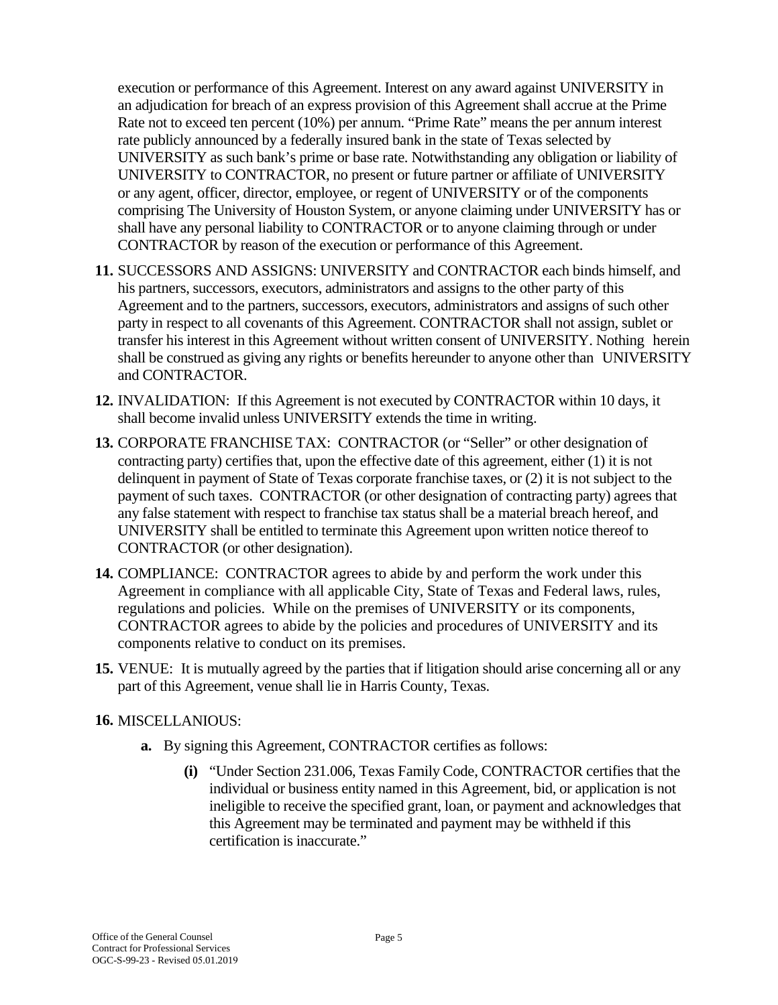execution or performance of this Agreement. Interest on any award against UNIVERSITY in an adjudication for breach of an express provision of this Agreement shall accrue at the Prime Rate not to exceed ten percent (10%) per annum. "Prime Rate" means the per annum interest rate publicly announced by a federally insured bank in the state of Texas selected by UNIVERSITY as such bank's prime or base rate. Notwithstanding any obligation or liability of UNIVERSITY to CONTRACTOR, no present or future partner or affiliate of UNIVERSITY or any agent, officer, director, employee, or regent of UNIVERSITY or of the components comprising The University of Houston System, or anyone claiming under UNIVERSITY has or shall have any personal liability to CONTRACTOR or to anyone claiming through or under CONTRACTOR by reason of the execution or performance of this Agreement.

- **11.** SUCCESSORS AND ASSIGNS: UNIVERSITY and CONTRACTOR each binds himself, and his partners, successors, executors, administrators and assigns to the other party of this Agreement and to the partners, successors, executors, administrators and assigns of such other party in respect to all covenants of this Agreement. CONTRACTOR shall not assign, sublet or transfer his interest in this Agreement without written consent of UNIVERSITY. Nothing herein shall be construed as giving any rights or benefits hereunder to anyone other than UNIVERSITY and CONTRACTOR.
- **12.** INVALIDATION: If this Agreement is not executed by CONTRACTOR within 10 days, it shall become invalid unless UNIVERSITY extends the time in writing.
- **13.** CORPORATE FRANCHISE TAX: CONTRACTOR (or "Seller" or other designation of contracting party) certifies that, upon the effective date of this agreement, either (1) it is not delinquent in payment of State of Texas corporate franchise taxes, or (2) it is not subject to the payment of such taxes. CONTRACTOR (or other designation of contracting party) agrees that any false statement with respect to franchise tax status shall be a material breach hereof, and UNIVERSITY shall be entitled to terminate this Agreement upon written notice thereof to CONTRACTOR (or other designation).
- **14.** COMPLIANCE: CONTRACTOR agrees to abide by and perform the work under this Agreement in compliance with all applicable City, State of Texas and Federal laws, rules, regulations and policies. While on the premises of UNIVERSITY or its components, CONTRACTOR agrees to abide by the policies and procedures of UNIVERSITY and its components relative to conduct on its premises.
- **15.** VENUE: It is mutually agreed by the parties that if litigation should arise concerning all or any part of this Agreement, venue shall lie in Harris County, Texas.

#### **16.** MISCELLANIOUS:

- **a.** By signing this Agreement, CONTRACTOR certifies as follows:
	- **(i)** "Under Section 231.006, Texas Family Code, CONTRACTOR certifies that the individual or business entity named in this Agreement, bid, or application is not ineligible to receive the specified grant, loan, or payment and acknowledges that this Agreement may be terminated and payment may be withheld if this certification is inaccurate."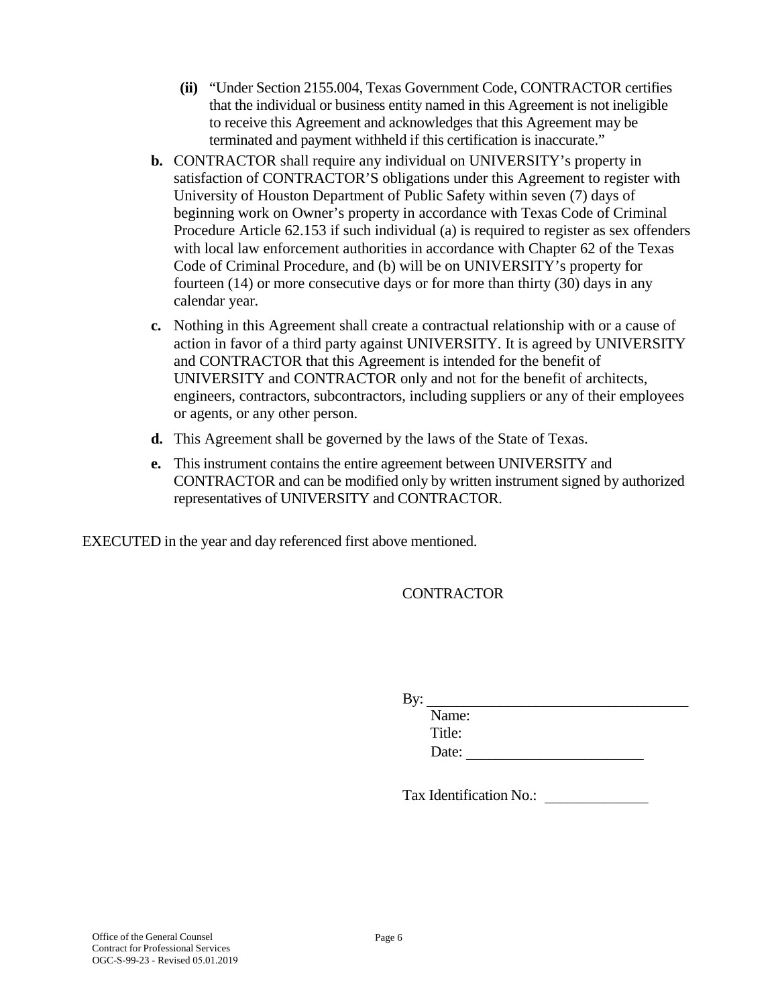- **(ii)** "Under Section 2155.004, Texas Government Code, CONTRACTOR certifies that the individual or business entity named in this Agreement is not ineligible to receive this Agreement and acknowledges that this Agreement may be terminated and payment withheld if this certification is inaccurate."
- **b.** CONTRACTOR shall require any individual on UNIVERSITY's property in satisfaction of CONTRACTOR'S obligations under this Agreement to register with University of Houston Department of Public Safety within seven (7) days of beginning work on Owner's property in accordance with Texas Code of Criminal Procedure Article 62.153 if such individual (a) is required to register as sex offenders with local law enforcement authorities in accordance with Chapter 62 of the Texas Code of Criminal Procedure, and (b) will be on UNIVERSITY's property for fourteen (14) or more consecutive days or for more than thirty (30) days in any calendar year.
- **c.** Nothing in this Agreement shall create a contractual relationship with or a cause of action in favor of a third party against UNIVERSITY. It is agreed by UNIVERSITY and CONTRACTOR that this Agreement is intended for the benefit of UNIVERSITY and CONTRACTOR only and not for the benefit of architects, engineers, contractors, subcontractors, including suppliers or any of their employees or agents, or any other person.
- **d.** This Agreement shall be governed by the laws of the State of Texas.
- **e.** This instrument contains the entire agreement between UNIVERSITY and CONTRACTOR and can be modified only by written instrument signed by authorized representatives of UNIVERSITY and CONTRACTOR.

EXECUTED in the year and day referenced first above mentioned.

CONTRACTOR

| By: |        |  |  |  |
|-----|--------|--|--|--|
|     | Name:  |  |  |  |
|     | Title: |  |  |  |
|     | Date:  |  |  |  |

Tax Identification No.: